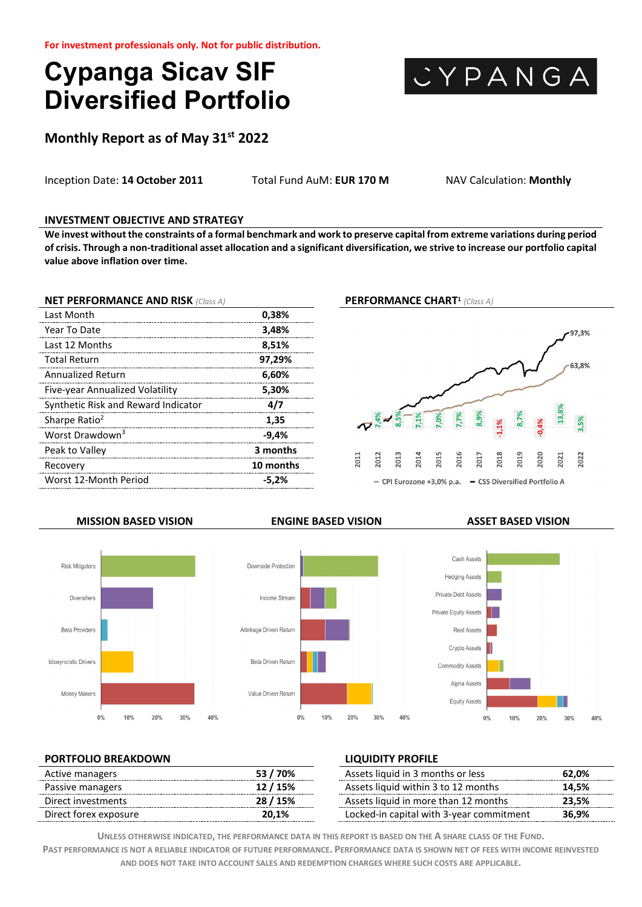# **Cypanga Sicav SIF Diversified Portfolio**



**Monthly Report as of May 31st 2022**

Inception Date: **14 October 2011** Total Fund AuM: **EUR 170 M** NAV Calculation: **Monthly**

### **INVESTMENT OBJECTIVE AND STRATEGY**

**We invest without the constraints of a formal benchmark and work to preserve capital from extreme variations during period of crisis. Through a non-traditional asset allocation and a significant diversification, we strive to increase our portfolio capital value above inflation over time.**

| <b>NET PERFORMANCE AND RISK (Class A)</b> |           |
|-------------------------------------------|-----------|
| Last Month                                | 0,38%     |
| Year To Date                              | 3,48%     |
| Last 12 Months                            | 8,51%     |
| <b>Total Return</b>                       | 97,29%    |
| <b>Annualized Return</b>                  | 6,60%     |
| Five-year Annualized Volatility           | 5,30%     |
| Synthetic Risk and Reward Indicator       | 4/7       |
| Sharpe Ratio <sup>2</sup>                 | 1,35      |
| Worst Drawdown <sup>3</sup>               | -9,4%     |
| Peak to Valley                            | 3 months  |
| Recovery                                  | 10 months |
| Worst 12-Month Period                     | $-5.2%$   |
|                                           |           |

### **PERFORMANCE CHART1** *(Class A)*





 $10%$ 

20%

 $30%$ 

40%

Downside Protection

Income Stream

Arbitrage Driven Return

Beta Driven Return

Value Driven Return

 $0%$ 



### **PORTFOLIO BREAKDOWN LIQUIDITY PROFILE**

 $0%$ 

Money Makers

| ' 70%    | Assets liquid in 3 months or less        | 62.0% |
|----------|------------------------------------------|-------|
| 12/15%   | Assets liquid within 3 to 12 months      | 14.5% |
| 28 / 15% | Assets liquid in more than 12 months     | 23.5% |
| 20.1%    | Locked-in capital with 3-year commitment | 36.9% |
|          |                                          |       |

 $10%$ 

**UNLESS OTHERWISE INDICATED, THE PERFORMANCE DATA IN THIS REPORT IS BASED ON THE A SHARE CLASS OF THE FUND.**

**PAST PERFORMANCE IS NOT A RELIABLE INDICATOR OF FUTURE PERFORMANCE. PERFORMANCE DATA IS SHOWN NET OF FEES WITH INCOME REINVESTED AND DOES NOT TAKE INTO ACCOUNT SALES AND REDEMPTION CHARGES WHERE SUCH COSTS ARE APPLICABLE.**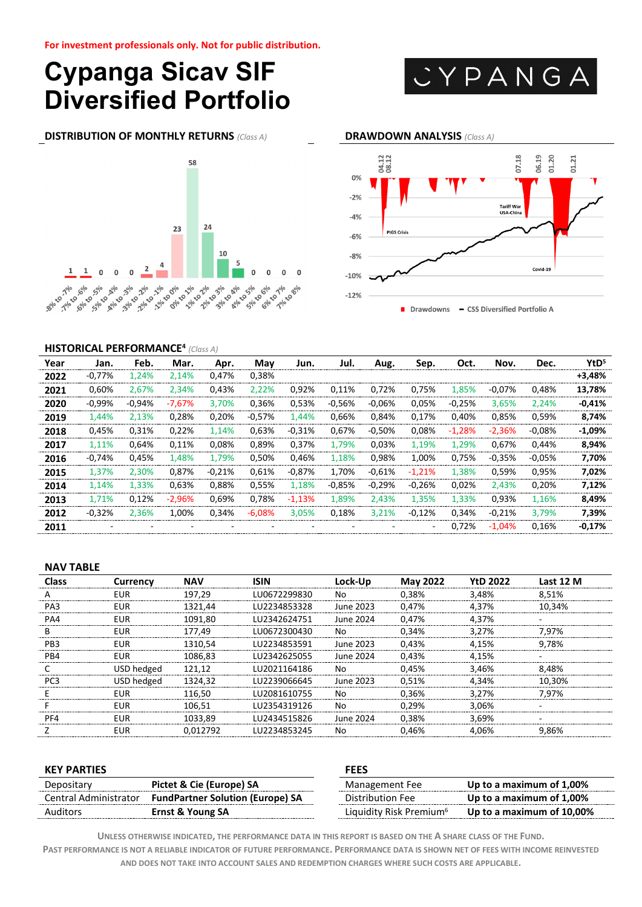# **Cypanga Sicav SIF Diversified Portfolio**



**DISTRIBUTION OF MONTHLY RETURNS** *(Class A)* **DRAWDOWN ANALYSIS** *(Class A)*





### **HISTORICAL PERFORMANCE4** *(Class A)*

| Year | Jan.     | Feb.     | Mar.     | Apr.     | May      | Jun.     | Jul.     | Aug.                     | Sep.                     | Oct.     | Nov.      | Dec.      | YtD <sup>5</sup> |
|------|----------|----------|----------|----------|----------|----------|----------|--------------------------|--------------------------|----------|-----------|-----------|------------------|
| 2022 | $-0.77%$ | 1.24%    | 2.14%    | 0.47%    | 0,38%    |          |          |                          |                          |          |           |           | +3,48%           |
| 2021 | 0.60%    | 2.67%    | 2,34%    | 0.43%    | 2.22%    | 0.92%    | 0.11%    | 0.72%                    | 0.75%                    | 1.85%    | $-0.07\%$ | 0.48%     | 13.78%           |
| 2020 | $-0.99%$ | $-0.94%$ | $-7.67%$ | 3.70%    | 0,36%    | 0,53%    | $-0.56%$ | $-0.06%$                 | 0.05%                    | $-0.25%$ | 3.65%     | 2.24%     | $-0.41%$         |
| 2019 | 1.44%    | 2.13%    | 0.28%    | 0,20%    | $-0.57%$ | 1.44%    | 0.66%    | 0,84%                    | 0.17%                    | 0.40%    | 0.85%     | 0.59%     | 8.74%            |
| 2018 | 0.45%    | 0.31%    | 0.22%    | 1,14%    | 0.63%    | $-0.31%$ | 0,67%    | $-0.50%$                 | 0.08%                    | $-1.28%$ | $-2.36%$  | $-0.08\%$ | $-1.09\%$        |
| 2017 | 1.11%    | 0.64%    | 0.11%    | 0.08%    | 0.89%    | 0.37%    | 1.79%    | 0.03%                    | 1.19%                    | 1.29%    | 0.67%     | 0.44%     | 8.94%            |
| 2016 | $-0.74%$ | 0.45%    | 1.48%    | 1.79%    | 0.50%    | 0.46%    | 1.18%    | 0.98%                    | 1.00%                    | 0.75%    | $-0.35%$  | $-0.05%$  | 7.70%            |
| 2015 | 1,37%    | 2.30%    | 0,87%    | $-0.21%$ | 0.61%    | $-0.87%$ | 1.70%    | $-0.61%$                 | $-1.21%$                 | 1.38%    | 0,59%     | 0.95%     | 7.02%            |
| 2014 | 1.14%    | 1.33%    | 0.63%    | 0.88%    | 0.55%    | 1.18%    | $-0.85%$ | $-0.29%$                 | $-0.26%$                 | 0.02%    | 2.43%     | 0.20%     | 7.12%            |
| 2013 | 1.71%    | 0.12%    | $-2.96%$ | 0.69%    | 0.78%    | $-1.13%$ | 1.89%    | 2.43%                    | 1.35%                    | 1.33%    | 0.93%     | 1.16%     | 8.49%            |
| 2012 | $-0.32%$ | 2.36%    | 1,00%    | 0.34%    | $-6,08%$ | 3,05%    | 0,18%    | 3,21%                    | $-0.12%$                 | 0,34%    | $-0.21%$  | 3.79%     | 7.39%            |
| 2011 |          |          |          |          |          |          |          | $\overline{\phantom{a}}$ | $\overline{\phantom{a}}$ | 0.72%    | $-1,04%$  | 0.16%     | $-0.17%$         |

#### **NAV TABLE**

| Class           | Currency   | <b>NAV</b> | ISIN          | Lock-Up   | <b>May 2022</b> | <b>YtD 2022</b> | Last 12 M |
|-----------------|------------|------------|---------------|-----------|-----------------|-----------------|-----------|
|                 | EUR        | 197,29     | LU0672299830  | No        | 0,38%           | 3,48%           | 8.51%     |
| PA3             | EUR        | 1321,44    | LU2234853328  | June 2023 | 0,47%           | 4.37%           | 10,34%    |
| PA4             | FUR        | 1091,80    | LU2342624751  | June 2024 | 0.47%           | 4,37%           |           |
| B.              | EUR        | 177.49     | LU0672300430  | No        | 0.34%           | 3.27%           | 7.97%     |
| PB3             | EUR        | 1310.54    | LU2234853591  | June 2023 | 0.43%           | 4.15%           | 9.78%     |
| PR4             | <b>FUR</b> | 1086,83    | 1112342625055 | June 2024 | 0.43%           | 4.15%           |           |
|                 | USD hedged | 121.12     | 1U2021164186  | No        | 0.45%           | 3.46%           | 8.48%     |
| PC <sub>3</sub> | USD hedged | 1324.32    | I U2239066645 | June 2023 | 0.51%           | 4.34%           | 10.30%    |
|                 | FUR        | 116.50     | I U2081610755 | No        | 0.36%           | 3.27%           | 7.97%     |
|                 | FUR        | 106.51     | LU2354319126  | N٥        | 0.29%           | 3.06%           |           |
| PF4             | EUR        | 1033,89    | LU2434515826  | June 2024 | 0.38%           | 3.69%           |           |
|                 | FUR        | 0.012792   | 1U2234853245  | No        | 0.46%           | 4.06%           | 9.86%     |

| <b>KEY PARTIES</b>    |                                         | <b>FEES</b>                         |                           |  |  |
|-----------------------|-----------------------------------------|-------------------------------------|---------------------------|--|--|
| Depositary            | Pictet & Cie (Europe) SA                | Management Fee                      | Up to a maximum of 1,00%  |  |  |
| Central Administrator | <b>FundPartner Solution (Europe) SA</b> | Distribution Fee                    | Up to a maximum of 1,00%  |  |  |
| Auditors              | Ernst & Young SA                        | Liquidity Risk Premium <sup>6</sup> | Up to a maximum of 10,00% |  |  |

**UNLESS OTHERWISE INDICATED, THE PERFORMANCE DATA IN THIS REPORT IS BASED ON THE A SHARE CLASS OF THE FUND.**

**PAST PERFORMANCE IS NOT A RELIABLE INDICATOR OF FUTURE PERFORMANCE. PERFORMANCE DATA IS SHOWN NET OF FEES WITH INCOME REINVESTED AND DOES NOT TAKE INTO ACCOUNT SALES AND REDEMPTION CHARGES WHERE SUCH COSTS ARE APPLICABLE.**